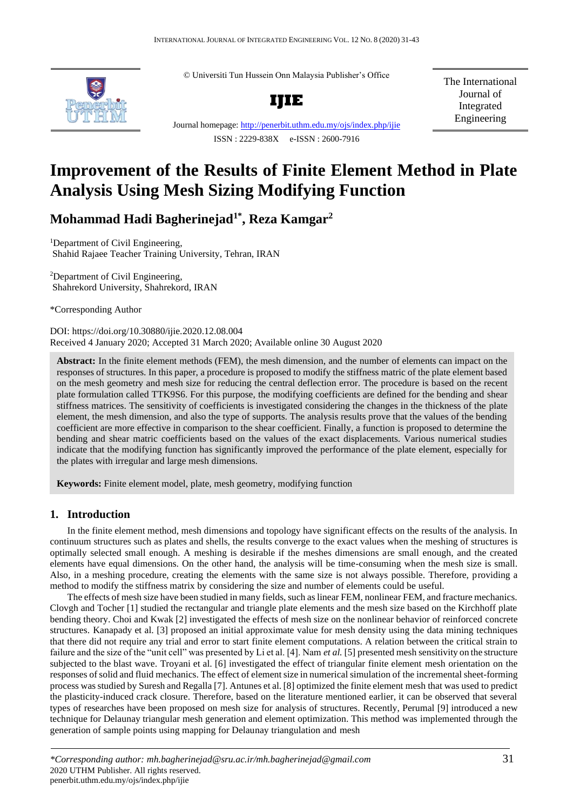

© Universiti Tun Hussein Onn Malaysia Publisher's Office



Journal homepage:<http://penerbit.uthm.edu.my/ojs/index.php/ijie> ISSN : 2229-838X e-ISSN : 2600-7916

The International Journal of Integrated Engineering

# **Improvement of the Results of Finite Element Method in Plate Analysis Using Mesh Sizing Modifying Function**

**Mohammad Hadi Bagherinejad1\*, Reza Kamgar<sup>2</sup>**

<sup>1</sup>Department of Civil Engineering, Shahid Rajaee Teacher Training University, Tehran, IRAN

<sup>2</sup>Department of Civil Engineering, Shahrekord University, Shahrekord, IRAN

\*Corresponding Author

DOI: https://doi.org/10.30880/ijie.2020.12.08.004 Received 4 January 2020; Accepted 31 March 2020; Available online 30 August 2020

**Abstract:** In the finite element methods (FEM), the mesh dimension, and the number of elements can impact on the responses of structures. In this paper, a procedure is proposed to modify the stiffness matric of the plate element based on the mesh geometry and mesh size for reducing the central deflection error. The procedure is based on the recent plate formulation called TTK9S6. For this purpose, the modifying coefficients are defined for the bending and shear stiffness matrices. The sensitivity of coefficients is investigated considering the changes in the thickness of the plate element, the mesh dimension, and also the type of supports. The analysis results prove that the values of the bending coefficient are more effective in comparison to the shear coefficient. Finally, a function is proposed to determine the bending and shear matric coefficients based on the values of the exact displacements. Various numerical studies indicate that the modifying function has significantly improved the performance of the plate element, especially for the plates with irregular and large mesh dimensions.

**Keywords:** Finite element model, plate, mesh geometry, modifying function

# **1. Introduction**

In the finite element method, mesh dimensions and topology have significant effects on the results of the analysis. In continuum structures such as plates and shells, the results converge to the exact values when the meshing of structures is optimally selected small enough. A meshing is desirable if the meshes dimensions are small enough, and the created elements have equal dimensions. On the other hand, the analysis will be time-consuming when the mesh size is small. Also, in a meshing procedure, creating the elements with the same size is not always possible. Therefore, providing a method to modify the stiffness matrix by considering the size and number of elements could be useful.

The effects of mesh size have been studied in many fields, such as linear FEM, nonlinear FEM, and fracture mechanics. Clovgh and Tocher [1] studied the rectangular and triangle plate elements and the mesh size based on the Kirchhoff plate bending theory. Choi and Kwak [2] investigated the effects of mesh size on the nonlinear behavior of reinforced concrete structures. Kanapady et al. [3] proposed an initial approximate value for mesh density using the data mining techniques that there did not require any trial and error to start finite element computations. A relation between the critical strain to failure and the size of the "unit cell" was presented by Li et al. [4]. Nam *et al.* [5] presented mesh sensitivity on the structure subjected to the blast wave. Troyani et al. [6] investigated the effect of triangular finite element mesh orientation on the responses ofsolid and fluid mechanics. The effect of element size in numerical simulation of the incremental sheet-forming process wasstudied by Suresh and Regalla [7]. Antunes et al. [8] optimized the finite element mesh that was used to predict the plasticity-induced crack closure. Therefore, based on the literature mentioned earlier, it can be observed that several types of researches have been proposed on mesh size for analysis of structures. Recently, Perumal [9] introduced a new technique for Delaunay triangular mesh generation and element optimization. This method was implemented through the generation of sample points using mapping for Delaunay triangulation and mesh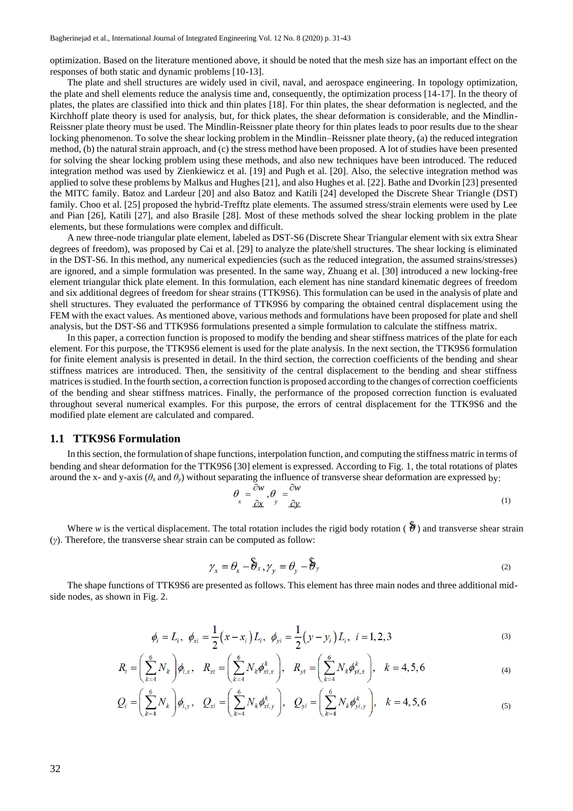optimization. Based on the literature mentioned above, it should be noted that the mesh size has an important effect on the responses of both static and dynamic problems [10-13].

The plate and shell structures are widely used in civil, naval, and aerospace engineering. In topology optimization, the plate and shell elements reduce the analysis time and, consequently, the optimization process [14-17]. In the theory of plates, the plates are classified into thick and thin plates [18]. For thin plates, the shear deformation is neglected, and the Kirchhoff plate theory is used for analysis, but, for thick plates, the shear deformation is considerable, and the Mindlin-Reissner plate theory must be used. The Mindlin-Reissner plate theory for thin plates leads to poor results due to the shear locking phenomenon. To solve the shear locking problem in the Mindlin–Reissner plate theory, (a) the reduced integration method, (b) the natural strain approach, and (c) the stress method have been proposed. A lot of studies have been presented for solving the shear locking problem using these methods, and also new techniques have been introduced. The reduced integration method was used by Zienkiewicz et al. [19] and Pugh et al. [20]. Also, the selective integration method was applied to solve these problems by Malkus and Hughes [21], and also Hughes et al. [22]. Bathe and Dvorkin [23] presented the MITC family. Batoz and Lardeur [20] and also Batoz and Katili [24] developed the Discrete Shear Triangle (DST) family. Choo et al. [25] proposed the hybrid-Trefftz plate elements. The assumed stress/strain elements were used by Lee and Pian [26], Katili [27], and also Brasile [28]. Most of these methods solved the shear locking problem in the plate elements, but these formulations were complex and difficult.

A new three-node triangular plate element, labeled as DST-S6 (Discrete Shear Triangular element with six extra Shear degrees of freedom), was proposed by Cai et al. [29] to analyze the plate/shell structures. The shear locking is eliminated in the DST-S6. In this method, any numerical expediencies (such as the reduced integration, the assumed strains/stresses) are ignored, and a simple formulation was presented. In the same way, Zhuang et al. [30] introduced a new locking-free element triangular thick plate element. In this formulation, each element has nine standard kinematic degrees of freedom and six additional degrees of freedom for shear strains (TTK9S6). This formulation can be used in the analysis of plate and shell structures. They evaluated the performance of TTK9S6 by comparing the obtained central displacement using the FEM with the exact values. As mentioned above, various methods and formulations have been proposed for plate and shell analysis, but the DST-S6 and TTK9S6 formulations presented a simple formulation to calculate the stiffness matrix.

In this paper, a correction function is proposed to modify the bending and shear stiffness matrices of the plate for each element. For this purpose, the TTK9S6 element is used for the plate analysis. In the next section, the TTK9S6 formulation for finite element analysis is presented in detail. In the third section, the correction coefficients of the bending and shear stiffness matrices are introduced. Then, the sensitivity of the central displacement to the bending and shear stiffness matrices is studied. In the fourth section, a correction function is proposed according to the changes of correction coefficients of the bending and shear stiffness matrices. Finally, the performance of the proposed correction function is evaluated throughout several numerical examples. For this purpose, the errors of central displacement for the TTK9S6 and the modified plate element are calculated and compared.

# **1.1 TTK9S6 Formulation**

In thissection, the formulation ofshape functions, interpolation function, and computing the stiffness matric in terms of bending and shear deformation for the TTK9S6 [30] element is expressed. According to Fig. 1, the total rotations of plates around the x- and y-axis ( $\theta_x$  and  $\theta_y$ ) without separating the influence of transverse shear deformation are expressed by:

$$
\theta_{x} = \frac{\partial w}{\partial x}, \theta_{y} = \frac{\partial w}{\partial y}
$$
\n(1)

Where w is the vertical displacement. The total rotation includes the rigid body rotation  $(\hat{\theta})$  and transverse shear strain (*γ*). Therefore, the transverse shear strain can be computed as follow:

$$
\gamma_x = \theta_x - \hat{\theta}_x, \gamma_y = \theta_y - \hat{\theta}_y \tag{2}
$$

The shape functions of TTK9S6 are presented as follows. This element has three main nodes and three additional midside nodes, as shown in Fig. 2.

$$
\phi_i = L_i, \ \phi_{xi} = \frac{1}{2} (x - x_i) L_i, \ \phi_{yi} = \frac{1}{2} (y - y_i) L_i, \ i = 1, 2, 3
$$
\n(3)

$$
R_i = \left(\sum_{k=4}^{6} N_k\right) \phi_{i,x}, \quad R_{xi} = \left(\sum_{k=4}^{6} N_k \phi_{xi,x}^k\right), \quad R_{yi} = \left(\sum_{k=4}^{6} N_k \phi_{yi,x}^k\right), \quad k = 4, 5, 6
$$
 (4)

$$
Q_i = \left(\sum_{k=4}^{6} N_k\right) \phi_{i,y}, \quad Q_{xi} = \left(\sum_{k=4}^{6} N_k \phi_{xi,y}^k\right), \quad Q_{yi} = \left(\sum_{k=4}^{6} N_k \phi_{yi,y}^k\right), \quad k = 4, 5, 6
$$
 (5)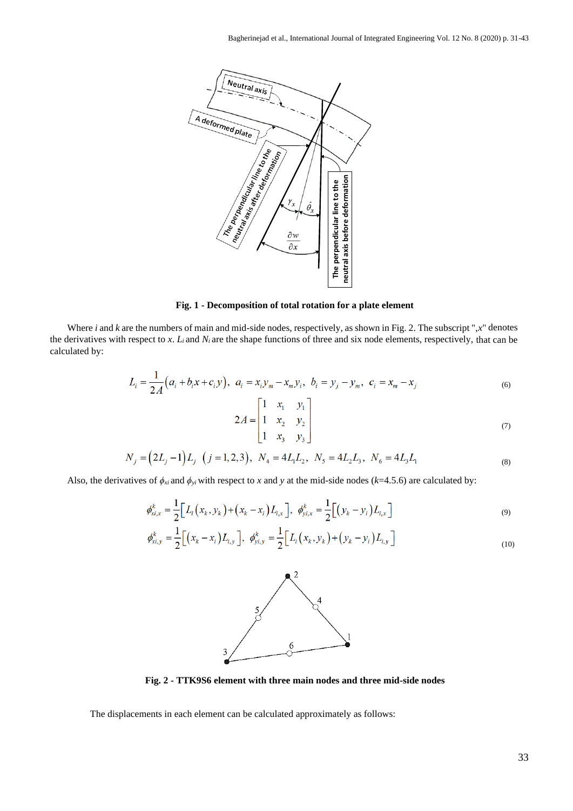

**Fig. 1 - Decomposition of total rotation for a plate element**

Where *i* and *k* are the numbers of main and mid-side nodes, respectively, as shown in Fig. 2. The subscript ",x" denotes the derivatives with respect to *x*. *Li* and *Ni* are the shape functions of three and six node elements, respectively, that can be calculated by:

$$
L_i = \frac{1}{2A} (a_i + b_i x + c_i y), \ \ a_i = x_i y_m - x_m y_i, \ \ b_i = y_j - y_m, \ \ c_i = x_m - x_j
$$
\n<sup>(6)</sup>

$$
2A = \begin{bmatrix} 1 & x_1 & y_1 \\ 1 & x_2 & y_2 \\ 1 & x_3 & y_3 \end{bmatrix}
$$
 (7)

$$
N_j = (2L_j - 1)L_j \quad (j = 1, 2, 3), \quad N_4 = 4L_1L_2, \quad N_5 = 4L_2L_3, \quad N_6 = 4L_3L_1
$$
\n<sup>(8)</sup>

Also, the derivatives of  $\phi_{xi}$  and  $\phi_{yi}$  with respect to *x* and *y* at the mid-side nodes (*k*=4.5.6) are calculated by:

$$
\phi_{xi,x}^k = \frac{1}{2} \Big[ L_i \big( x_k, y_k \big) + \big( x_k - x_i \big) L_{i,x} \Big], \ \phi_{yi,x}^k = \frac{1}{2} \Big[ \big( y_k - y_i \big) L_{i,x} \Big]
$$
(9)

$$
\phi_{xi,y}^k = \frac{1}{2} \Big[ \big( x_k - x_i \big) L_{i,y} \Big], \quad \phi_{yi,y}^k = \frac{1}{2} \Big[ L_i \big( x_k, y_k \big) + \big( y_k - y_i \big) L_{i,y} \Big]
$$
\n(10)



**Fig. 2 - TTK9S6 element with three main nodes and three mid-side nodes**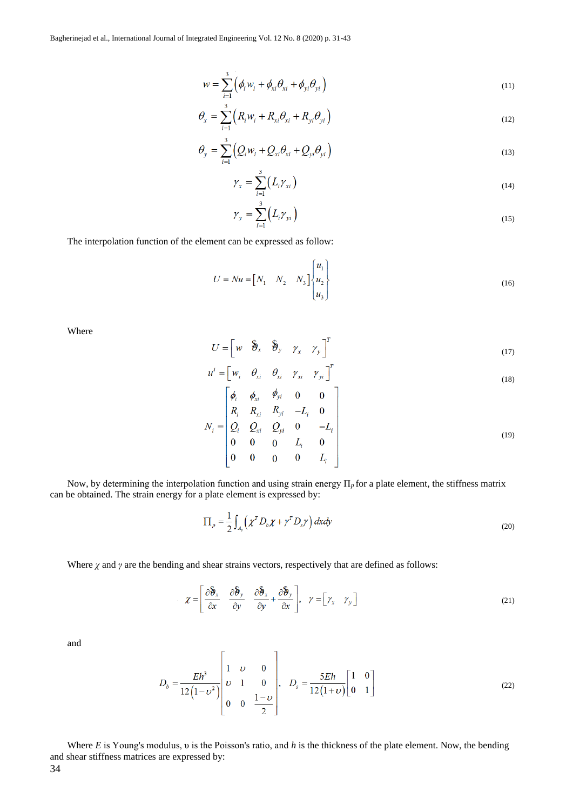$$
w = \sum_{i=1}^{3} \left( \phi_i w_i + \phi_{xi} \theta_{xi} + \phi_{yi} \theta_{yi} \right)
$$
\n(11)

$$
\theta_x = \sum_{i=1}^3 \left( R_i w_i + R_{xi} \theta_{xi} + R_{yi} \theta_{yi} \right)
$$
\n(12)

$$
\theta_{y} = \sum_{i=1}^{3} \left( Q_{i} w_{i} + Q_{xi} \theta_{xi} + Q_{yi} \theta_{yi} \right)
$$
\n(13)

$$
\gamma_x = \sum_{i=1}^3 \left( L_i \gamma_{xi} \right) \tag{14}
$$

$$
\gamma_{y} = \sum_{i=1}^{3} \left( L_{i} \gamma_{yi} \right) \tag{15}
$$

The interpolation function of the element can be expressed as follow:

$$
U = Nu = \begin{bmatrix} N_1 & N_2 & N_3 \end{bmatrix} \begin{bmatrix} u_1 \\ u_2 \\ u_3 \end{bmatrix}
$$
 (16)

Where

$$
U = \begin{bmatrix} w & \hat{\vartheta}_x & \hat{\vartheta}_y & \gamma_x & \gamma_y \end{bmatrix}^T
$$
 (17)

$$
u^{i} = \begin{bmatrix} w_{i} & \theta_{xi} & \theta_{xi} & \gamma_{xi} & \gamma_{yi} \end{bmatrix}^{T}
$$
\n
$$
\begin{bmatrix} \phi & \phi_{i} & \phi_{yi} & 0 & 0 \end{bmatrix}
$$
\n(18)

$$
N_{i} = \begin{bmatrix} \varphi_{i} & \varphi_{xi} & \varphi_{yi} & 0 & 0 \\ R_{i} & R_{xi} & R_{yi} & -L_{i} & 0 \\ Q_{i} & Q_{xi} & Q_{yi} & 0 & -L_{i} \\ 0 & 0 & 0 & L_{i} & 0 \\ 0 & 0 & 0 & 0 & L_{i} \end{bmatrix}
$$
(19)

Now, by determining the interpolation function and using strain energy Π*p* for a plate element, the stiffness matrix can be obtained. The strain energy for a plate element is expressed by:

$$
\Pi_p = \frac{1}{2} \int_{A_s} \left( \chi^T D_b \chi + \gamma^T D_s \gamma \right) dx dy \tag{20}
$$

Where  $\chi$  and  $\gamma$  are the bending and shear strains vectors, respectively that are defined as follows:

$$
\chi = \left[\frac{\partial \hat{\boldsymbol{\theta}}_x}{\partial x} \quad \frac{\partial \hat{\boldsymbol{\theta}}_y}{\partial y} \quad \frac{\partial \hat{\boldsymbol{\theta}}_x}{\partial y} + \frac{\partial \hat{\boldsymbol{\theta}}_y}{\partial x}\right], \quad \gamma = \left[\gamma_x \quad \gamma_y\right]
$$
(21)

and

$$
D_b = \frac{Eh^3}{12(1 - v^2)} \begin{bmatrix} 1 & v & 0 \\ v & 1 & 0 \\ 0 & 0 & \frac{1 - v}{2} \end{bmatrix}, \quad D_s = \frac{5Eh}{12(1 + v)} \begin{bmatrix} 1 & 0 \\ 0 & 1 \end{bmatrix}
$$
(22)

Where *E* is Young's modulus, υ is the Poisson's ratio, and *h* is the thickness of the plate element. Now, the bending and shear stiffness matrices are expressed by: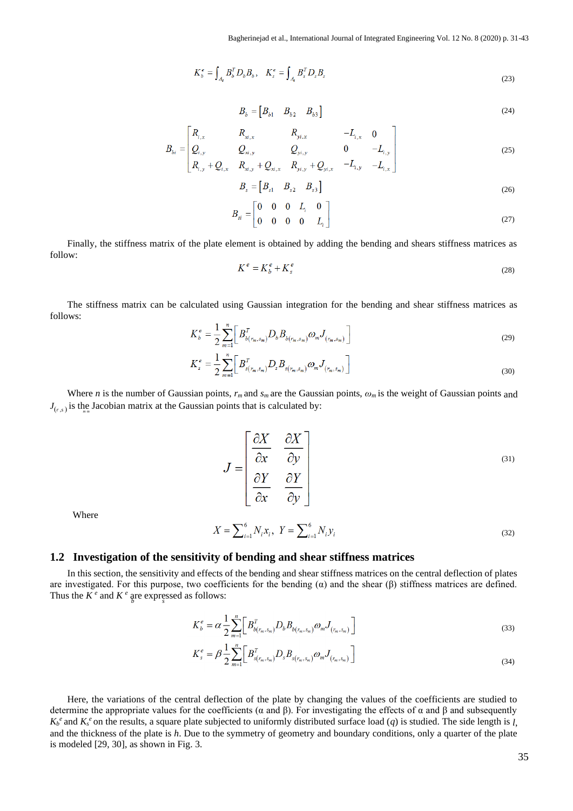$$
K_b^e = \int_{A_e} B_b^T D_b B_b, \quad K_s^e = \int_{A_e} B_s^T D_s B_s \tag{23}
$$

$$
B_b = \begin{bmatrix} B_{b1} & B_{b2} & B_{b3} \end{bmatrix} \tag{24}
$$

$$
B_{bi} = \begin{bmatrix} R_{i,x} & R_{xi,x} & R_{yi,x} & -L_{i,x} & 0\\ Q_{i,y} & Q_{xi,y} & Q_{yi,y} & 0 & -L_{i,y} \end{bmatrix}
$$
(25)

$$
B_s = \begin{bmatrix} B_{s1} & B_{s2} & B_{s3} \end{bmatrix} \tag{26}
$$

$$
B_{si} = \begin{bmatrix} 0 & 0 & 0 & L_i & 0 \\ 0 & 0 & 0 & 0 & L_i \end{bmatrix}
$$
 (27)

Finally, the stiffness matrix of the plate element is obtained by adding the bending and shears stiffness matrices as follow:

 $\int_{x_i, y_i}^{x_i} P(x_i, y_i + Q_{x_i, y_i} + Q_{x_i, x_i} \cdot R_{y_i, y_i} + Q_{y_i, x_i} \cdot R_{y_i, y_i} - I$ 

$$
K^e = K_b^e + K_s^e \tag{28}
$$

The stiffness matrix can be calculated using Gaussian integration for the bending and shear stiffness matrices as follows:

$$
K_b^e = \frac{1}{2} \sum_{m=1}^n \bigg[ B_{b(r_m, s_m)}^T D_b B_{b(r_m, s_m)} \omega_m J_{(r_m, s_m)} \bigg] \tag{29}
$$

$$
K_s^e = \frac{1}{2} \sum_{m=1}^n \bigg[ B_{s(r_m, s_m)}^T D_s B_{s(r_m, s_m)} \omega_m J_{(r_m, s_m)} \bigg] \tag{30}
$$

 $J_{(r,s)}$  is the Jacobian matrix at the Gaussian points that is calculated by: Where *n* is the number of Gaussian points,  $r_m$  and  $s_m$  are the Gaussian points,  $\omega_m$  is the weight of Gaussian points and

$$
J = \begin{bmatrix} \frac{\partial X}{\partial x} & \frac{\partial X}{\partial y} \\ \frac{\partial Y}{\partial x} & \frac{\partial Y}{\partial y} \end{bmatrix}
$$
 (31)

Where

$$
X = \sum_{i=1}^{6} N_i x_i, \ Y = \sum_{i=1}^{6} N_i y_i
$$
 (32)

# **1.2 Investigation of the sensitivity of bending and shear stiffness matrices**

Thus the  $K^e$  and  $K^e$  are expressed as follows: In this section, the sensitivity and effects of the bending and shear stiffness matrices on the central deflection of plates are investigated. For this purpose, two coefficients for the bending (α) and the shear (β) stiffness matrices are defined.

$$
K_b^e = \alpha \frac{1}{2} \sum_{m=1}^n \left[ B_{b(r_m, s_m)}^T D_b B_{b(r_m, s_m)} \omega_m J_{(r_m, s_m)} \right]
$$
(33)

$$
K_s^e = \beta \frac{1}{2} \sum_{m=1}^n \left[ B_{s(r_m, s_m)}^T D_s B_{s(r_m, s_m)} \omega_m J_{(r_m, s_m)} \right]
$$
(34)

Here, the variations of the central deflection of the plate by changing the values of the coefficients are studied to determine the appropriate values for the coefficients ( $\alpha$  and  $\beta$ ). For investigating the effects of  $\alpha$  and  $\beta$  and subsequently  $K_b^e$  and  $K_s^e$  on the results, a square plate subjected to uniformly distributed surface load  $(q)$  is studied. The side length is *l*, and the thickness of the plate is *h*. Due to the symmetry of geometry and boundary conditions, only a quarter of the plate is modeled [29, 30], as shown in Fig. 3.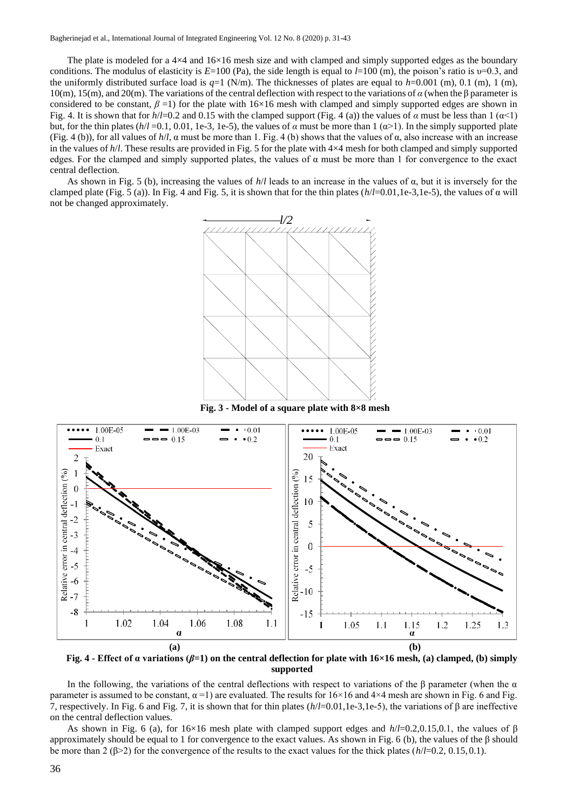The plate is modeled for a  $4\times4$  and  $16\times16$  mesh size and with clamped and simply supported edges as the boundary conditions. The modulus of elasticity is *E*=100 (Pa), the side length is equal to *l*=100 (m), the poison's ratio is υ=0.3, and the uniformly distributed surface load is  $q=1$  (N/m). The thicknesses of plates are equal to  $h=0.001$  (m), 0.1 (m), 1 (m), 10(m), 15(m), and 20(m). The variations of the central deflection with respect to the variations of *α* (when the β parameter is considered to be constant,  $\beta$  =1) for the plate with 16×16 mesh with clamped and simply supported edges are shown in Fig. 4. It is shown that for  $h/1=0.2$  and 0.15 with the clamped support (Fig. 4 (a)) the values of  $\alpha$  must be less than 1 ( $\alpha$ <1) but, for the thin plates ( $h/l = 0.1, 0.01, 1e-3, 1e-5$ ), the values of *α* must be more than  $1(\alpha > 1)$ . In the simply supported plate (Fig. 4 (b)), for all values of  $h/l$ ,  $\alpha$  must be more than 1. Fig. 4 (b) shows that the values of  $\alpha$ , also increase with an increase in the values of *h*/*l*. These results are provided in Fig. 5 for the plate with 4×4 mesh for both clamped and simply supported edges. For the clamped and simply supported plates, the values of  $\alpha$  must be more than 1 for convergence to the exact central deflection.

As shown in Fig. 5 (b), increasing the values of *h*/*l* leads to an increase in the values of α, but it is inversely for the clamped plate (Fig. 5 (a)). In Fig. 4 and Fig. 5, it is shown that for the thin plates (*h*/*l*=0.01,1e-3,1e-5), the values of α will not be changed approximately.



**Fig. 3 - Model of a square plate with 8×8 mesh**



**Fig. 4 - Effect of α variations (***β***=1) on the central deflection for plate with 16×16 mesh, (a) clamped, (b) simply supported**

In the following, the variations of the central deflections with respect to variations of the β parameter (when the  $\alpha$ parameter is assumed to be constant,  $\alpha = 1$ ) are evaluated. The results for  $16\times16$  and  $4\times4$  mesh are shown in Fig. 6 and Fig. 7, respectively. In Fig. 6 and Fig. 7, it is shown that for thin plates (*h*/*l*=0.01,1e-3,1e-5), the variations of β are ineffective on the central deflection values.

As shown in Fig. 6 (a), for 16×16 mesh plate with clamped support edges and *h*/*l*=0.2,0.15,0.1, the values of β approximately should be equal to 1 for convergence to the exact values. As shown in Fig. 6 (b), the values of the β should be more than 2 (β>2) for the convergence of the results to the exact values for the thick plates (*h*/*l*=0.2, 0.15, 0.1).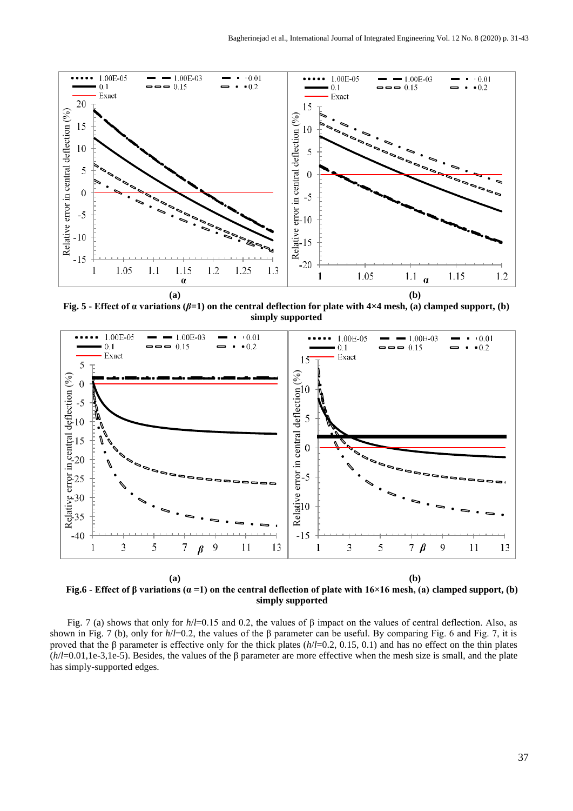

**Fig. 5 - Effect of α variations (***β***=1) on the central deflection for plate with 4×4 mesh, (a) clamped support, (b) simply supported**



**Fig.6 - Effect of β variations (α =1) on the central deflection of plate with 16×16 mesh, (a) clamped support, (b) simply supported**

Fig. 7 (a) shows that only for  $h/l=0.15$  and 0.2, the values of β impact on the values of central deflection. Also, as shown in Fig. 7 (b), only for *h*/*l*=0.2, the values of the β parameter can be useful. By comparing Fig. 6 and Fig. 7, it is proved that the β parameter is effective only for the thick plates (*h*/*l*=0.2, 0.15, 0.1) and has no effect on the thin plates (*h*/*l*=0.01,1e-3,1e-5). Besides, the values of the β parameter are more effective when the mesh size is small, and the plate has simply-supported edges.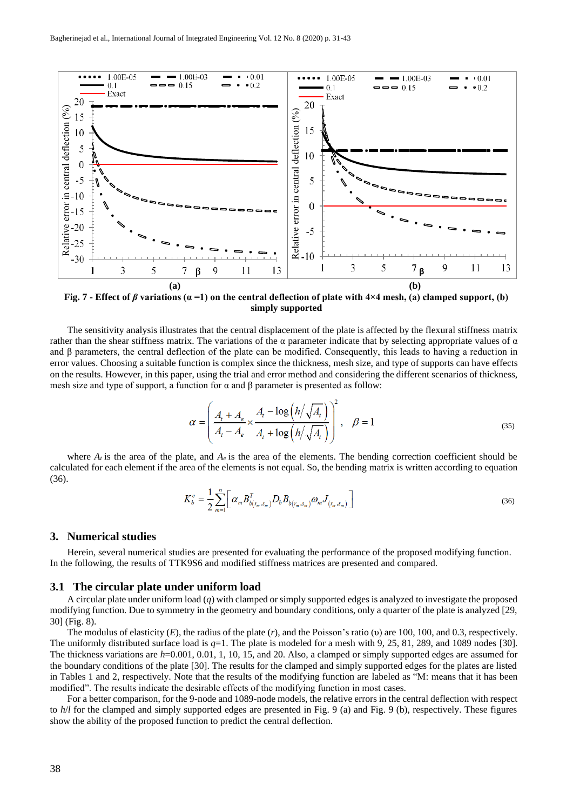

**Fig. 7 - Effect of** *β* **variations (α =1) on the central deflection of plate with 4×4 mesh, (a) clamped support, (b) simply supported**

The sensitivity analysis illustrates that the central displacement of the plate is affected by the flexural stiffness matrix rather than the shear stiffness matrix. The variations of the  $\alpha$  parameter indicate that by selecting appropriate values of  $\alpha$ and  $\beta$  parameters, the central deflection of the plate can be modified. Consequently, this leads to having a reduction in error values. Choosing a suitable function is complex since the thickness, mesh size, and type of supports can have effects on the results. However, in this paper, using the trial and error method and considering the different scenarios of thickness, mesh size and type of support, a function for  $\alpha$  and  $\beta$  parameter is presented as follow:

$$
\alpha = \left(\frac{A_t + A_e}{A_t - A_e} \times \frac{A_t - \log\left(\frac{h}{\sqrt{A_t}}\right)}{A_t + \log\left(\frac{h}{\sqrt{A_t}}\right)}\right)^2, \quad \beta = 1
$$
\n(35)

where  $A_t$  is the area of the plate, and  $A_e$  is the area of the elements. The bending correction coefficient should be calculated for each element if the area of the elements is not equal. So, the bending matrix is written according to equation (36).

$$
K_b^e = \frac{1}{2} \sum_{m=1}^n \bigg[ \alpha_m B_{b(r_m, s_m)}^T D_b B_{b(r_m, s_m)} \omega_m J_{(r_m, s_m)} \bigg] \tag{36}
$$

#### **3. Numerical studies**

Herein, several numerical studies are presented for evaluating the performance of the proposed modifying function. In the following, the results of TTK9S6 and modified stiffness matrices are presented and compared.

#### **3.1 The circular plate under uniform load**

A circular plate under uniform load (*q*) with clamped or simply supported edges is analyzed to investigate the proposed modifying function. Due to symmetry in the geometry and boundary conditions, only a quarter of the plate is analyzed [29, 30] (Fig. 8).

The modulus of elasticity (*E*), the radius of the plate (*r*), and the Poisson's ratio (υ) are 100, 100, and 0.3, respectively. The uniformly distributed surface load is *q*=1. The plate is modeled for a mesh with 9, 25, 81, 289, and 1089 nodes [30]. The thickness variations are *h*=0.001, 0.01, 1, 10, 15, and 20. Also, a clamped or simply supported edges are assumed for the boundary conditions of the plate [30]. The results for the clamped and simply supported edges for the plates are listed in Tables 1 and 2, respectively. Note that the results of the modifying function are labeled as "M: means that it has been modified". The results indicate the desirable effects of the modifying function in most cases.

For a better comparison, for the 9-node and 1089-node models, the relative errors in the central deflection with respect to  $h/l$  for the clamped and simply supported edges are presented in Fig. 9 (a) and Fig. 9 (b), respectively. These figures show the ability of the proposed function to predict the central deflection.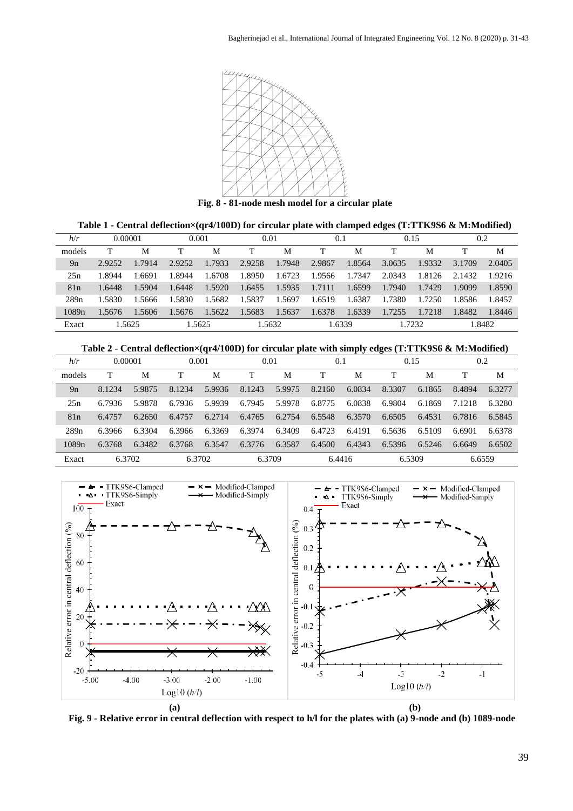

**Fig. 8 - 81-node mesh model for a circular plate**

| h/r    | 0.00001 |        | 0.001  |        | 0.01   |        | 0.1    |        | 0.15   |        | 0.2    |        |
|--------|---------|--------|--------|--------|--------|--------|--------|--------|--------|--------|--------|--------|
| models |         | М      |        | M      |        | M      |        | M      |        | M      |        | M      |
| 9n     | 2.9252  | 1.7914 | 2.9252 | 1.7933 | 2.9258 | 1.7948 | 2.9867 | 1.8564 | 3.0635 | 1.9332 | 3.1709 | 2.0405 |
| 25n    | 1.8944  | 1.6691 | 1.8944 | 1.6708 | 1.8950 | 1.6723 | 1.9566 | 1.7347 | 2.0343 | 1.8126 | 2.1432 | 1.9216 |
| 81n    | 1.6448  | 1.5904 | 1.6448 | 1.5920 | 1.6455 | 1.5935 | 1.7111 | 1.6599 | 1.7940 | 1.7429 | 1.9099 | 1.8590 |
| 289n   | 1.5830  | 1.5666 | 1.5830 | 1.5682 | 1.5837 | 1.5697 | 1.6519 | 1.6387 | 1.7380 | 1.7250 | 1.8586 | 1.8457 |
| 1089n  | 1.5676  | 1.5606 | 1.5676 | 1.5622 | 1.5683 | 1.5637 | 1.6378 | 1.6339 | 1.7255 | 1.7218 | 1.8482 | 1.8446 |
| Exact  | 1.5625  |        | 1.5625 |        | 1.5632 |        | 1.6339 |        | 1.7232 |        | L.8482 |        |

| h/r    | 0.00001 |        | 0.001  |        | 0.01   |        | 0.1    |        | 0.15   |        | 0.2    |        |
|--------|---------|--------|--------|--------|--------|--------|--------|--------|--------|--------|--------|--------|
| models |         | M      | т      | M      | т      | M      |        | M      |        | M      |        | M      |
| 9n     | 8.1234  | 5.9875 | 8.1234 | 5.9936 | 8.1243 | 5.9975 | 8.2160 | 6.0834 | 8.3307 | 6.1865 | 8.4894 | 6.3277 |
| 25n    | 6.7936  | 5.9878 | 6.7936 | 5.9939 | 6.7945 | 5.9978 | 6.8775 | 6.0838 | 6.9804 | 6.1869 | 7.1218 | 6.3280 |
| 81n    | 6.4757  | 6.2650 | 6.4757 | 6.2714 | 6.4765 | 6.2754 | 6.5548 | 6.3570 | 6.6505 | 6.4531 | 6.7816 | 6.5845 |
| 289n   | 6.3966  | 6.3304 | 6.3966 | 6.3369 | 6.3974 | 6.3409 | 6.4723 | 6.4191 | 6.5636 | 6.5109 | 6.6901 | 6.6378 |
| 1089n  | 6.3768  | 6.3482 | 6.3768 | 6.3547 | 6.3776 | 6.3587 | 6.4500 | 6.4343 | 6.5396 | 6.5246 | 6.6649 | 6.6502 |
| Exact  | 6.3702  |        |        | 6.3702 | 6.3709 |        |        | 6.4416 | 6.5309 |        | 6.6559 |        |



**Fig. 9 - Relative error in central deflection with respect to h/l for the plates with (a) 9-node and (b) 1089-node**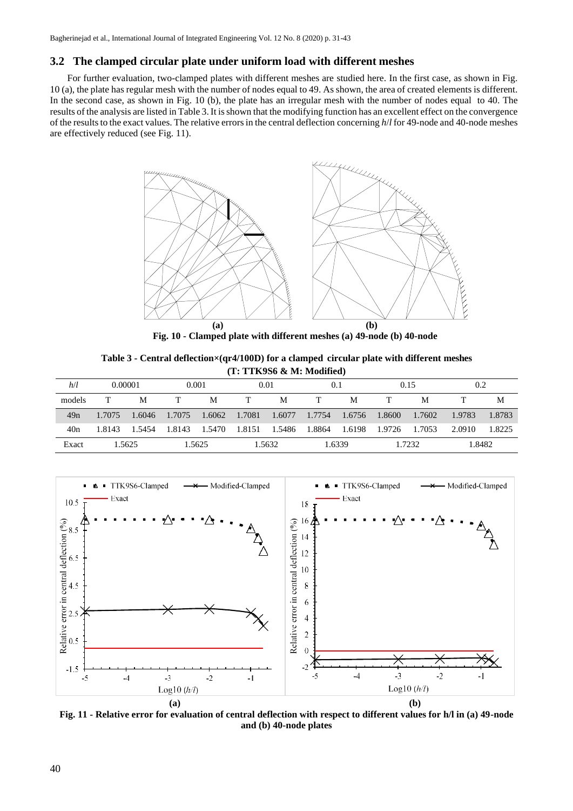# **3.2 The clamped circular plate under uniform load with different meshes**

For further evaluation, two-clamped plates with different meshes are studied here. In the first case, as shown in Fig. 10 (a), the plate has regular mesh with the number of nodes equal to 49. As shown, the area of created elements is different. In the second case, as shown in Fig. 10 (b), the plate has an irregular mesh with the number of nodes equal to 40. The results of the analysis are listed in Table 3. It isshown that the modifying function has an excellent effect on the convergence of the results to the exact values. The relative errors in the central deflection concerning  $h/l$  for 49-node and 40-node meshes are effectively reduced (see Fig. 11).



**Fig. 10 - Clamped plate with different meshes (a) 49-node (b) 40-node**

**Table 3 - Central deflection×(qr4/100D) for a clamped circular plate with different meshes (T: TTK9S6 & M: Modified)**

| h/l    | 0.00001 |        | 0.001 |               | 0.01 |                      | (0.1) |               | 0.15 |        | 0.2    |        |
|--------|---------|--------|-------|---------------|------|----------------------|-------|---------------|------|--------|--------|--------|
| models |         | М      | T.    | M             | T    | М                    | T     | М             | T    | M      |        | М      |
| 49n    | 1.7075  | 1.6046 |       | 1.7075 1.6062 |      | 1.7081 1.6077 1.7754 |       | 1.6756 1.8600 |      | 1.7602 | 1.9783 | 1.8783 |
| 40n    | 1.8143  | 1.5454 |       | 1.8143 1.5470 |      | 1.8151 1.5486 1.8864 |       | 1.6198 1.9726 |      | 1.7053 | 2.0910 | 1.8225 |
| Exact  |         | 1.5625 |       | 1.5625        |      | 1.5632               |       | 1.6339        |      | 1.7232 | 1.8482 |        |



**Fig. 11 - Relative error for evaluation of central deflection with respect to different values for h/l in (a) 49-node and (b) 40-node plates**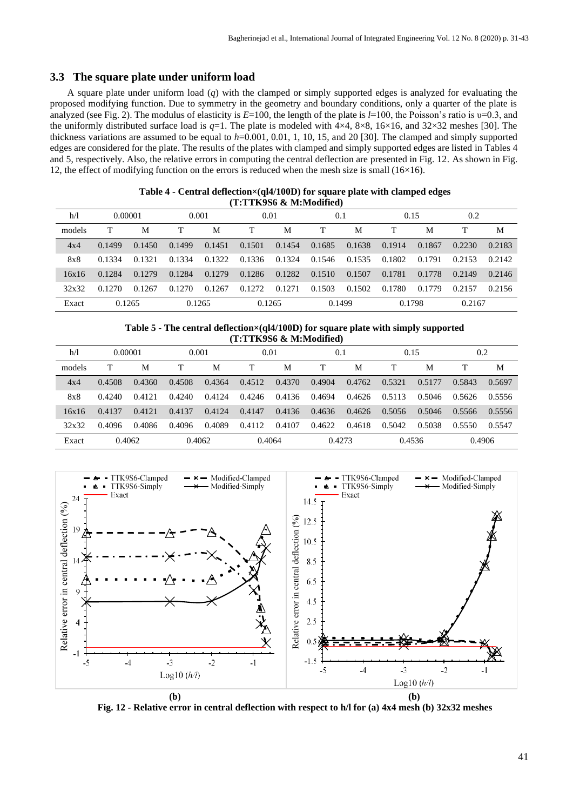# **3.3 The square plate under uniform load**

A square plate under uniform load (*q*) with the clamped or simply supported edges is analyzed for evaluating the proposed modifying function. Due to symmetry in the geometry and boundary conditions, only a quarter of the plate is analyzed (see Fig. 2). The modulus of elasticity is *E*=100, the length of the plate is *l*=100, the Poisson's ratio is υ=0.3, and the uniformly distributed surface load is *q*=1. The plate is modeled with 4×4, 8×8, 16×16, and 32×32 meshes [30]. The thickness variations are assumed to be equal to *h*=0.001, 0.01, 1, 10, 15, and 20 [30]. The clamped and simply supported edges are considered for the plate. The results of the plates with clamped and simply supported edges are listed in Tables 4 and 5, respectively. Also, the relative errors in computing the central deflection are presented in Fig. 12. As shown in Fig. 12, the effect of modifying function on the errors is reduced when the mesh size is small  $(16\times16)$ .

| 1 : 1 1 NYSO & M.:MOUIHEU) |         |        |        |        |        |        |        |        |        |        |        |        |  |
|----------------------------|---------|--------|--------|--------|--------|--------|--------|--------|--------|--------|--------|--------|--|
| h/1                        | 0.00001 |        | 0.001  |        | 0.01   |        | 0.1    |        | 0.15   |        | 0.2    |        |  |
| models                     |         | М      |        | M      |        | M      |        | M      |        | M      |        | M      |  |
| 4x4                        | 0.1499  | 0.1450 | 0.1499 | 0.1451 | 0.1501 | 0.1454 | 0.1685 | 0.1638 | 0.1914 | 0.1867 | 0.2230 | 0.2183 |  |
| 8x8                        | 0.1334  | 0.1321 | 0.1334 | 0.1322 | 0.1336 | 0.1324 | 0.1546 | 0.1535 | 0.1802 | 0.1791 | 0.2153 | 0.2142 |  |
| 16x16                      | 0.1284  | 0.1279 | 0.1284 | 0.1279 | 0.1286 | 0.1282 | 0.1510 | 0.1507 | 0.1781 | 0.1778 | 0.2149 | 0.2146 |  |
| 32x32                      | 0.1270  | 0.1267 | 0.1270 | 0.1267 | 0.1272 | 0.1271 | 0.1503 | 0.1502 | 0.1780 | 0.1779 | 0.2157 | 0.2156 |  |
| Exact                      | 0.1265  |        |        | 0.1265 |        | 0.1265 |        | 0.1499 |        | 0.1798 |        | 0.2167 |  |

#### **Table 4 - Central deflection×(ql4/100D) for square plate with clamped edges (T:TTK9S6 & M:Modified)**

#### **Table 5 - The central deflection×(ql4/100D) for square plate with simply supported (T:TTK9S6 & M:Modified)**

| h/1    | 0.00001 |        | 0.001  |        | 0.01   |        | 0.1    |        | 0.15   |        | 0.2    |        |
|--------|---------|--------|--------|--------|--------|--------|--------|--------|--------|--------|--------|--------|
| models |         | M      | т      | М      |        | M      |        | М      |        | M      |        | M      |
| 4x4    | 0.4508  | 0.4360 | 0.4508 | 0.4364 | 0.4512 | 0.4370 | 0.4904 | 0.4762 | 0.5321 | 0.5177 | 0.5843 | 0.5697 |
| 8x8    | 0.4240  | 0.4121 | 0.4240 | 0.4124 | 0.4246 | 0.4136 | 0.4694 | 0.4626 | 0.5113 | 0.5046 | 0.5626 | 0.5556 |
| 16x16  | 0.4137  | 0.4121 | 0.4137 | 0.4124 | 0.4147 | 0.4136 | 0.4636 | 0.4626 | 0.5056 | 0.5046 | 0.5566 | 0.5556 |
| 32x32  | 0.4096  | 0.4086 | 0.4096 | 0.4089 | 0.4112 | 0.4107 | 0.4622 | 0.4618 | 0.5042 | 0.5038 | 0.5550 | 0.5547 |
| Exact  | 0.4062  |        |        | 0.4062 |        | 0.4064 |        | 0.4273 |        | 0.4536 | 0.4906 |        |



**Fig. 12 - Relative error in central deflection with respect to h/l for (a) 4x4 mesh (b) 32x32 meshes**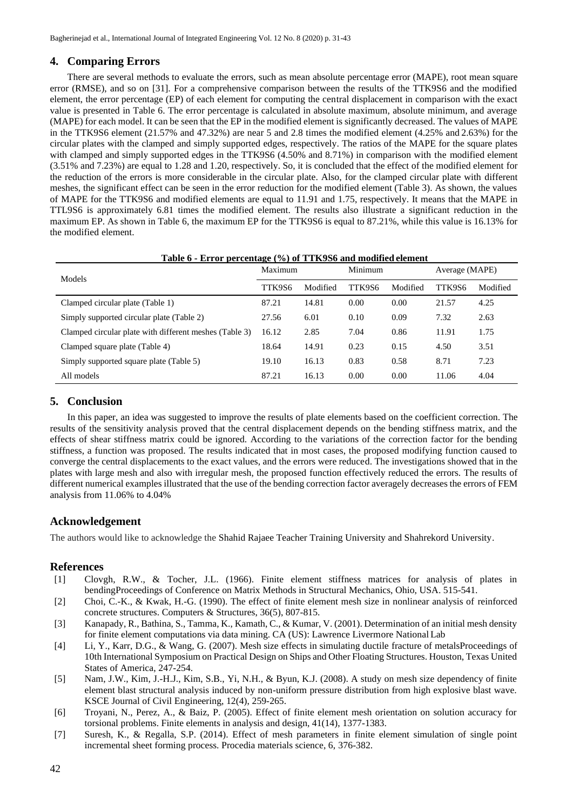# **4. Comparing Errors**

There are several methods to evaluate the errors, such as mean absolute percentage error (MAPE), root mean square error (RMSE), and so on [31]. For a comprehensive comparison between the results of the TTK9S6 and the modified element, the error percentage (EP) of each element for computing the central displacement in comparison with the exact value is presented in Table 6. The error percentage is calculated in absolute maximum, absolute minimum, and average (MAPE) for each model. It can be seen that the EP in the modified element is significantly decreased. The values of MAPE in the TTK9S6 element (21.57% and 47.32%) are near 5 and 2.8 times the modified element (4.25% and 2.63%) for the circular plates with the clamped and simply supported edges, respectively. The ratios of the MAPE for the square plates with clamped and simply supported edges in the TTK9S6 (4.50% and 8.71%) in comparison with the modified element (3.51% and 7.23%) are equal to 1.28 and 1.20, respectively. So, it is concluded that the effect of the modified element for the reduction of the errors is more considerable in the circular plate. Also, for the clamped circular plate with different meshes, the significant effect can be seen in the error reduction for the modified element (Table 3). As shown, the values of MAPE for the TTK9S6 and modified elements are equal to 11.91 and 1.75, respectively. It means that the MAPE in TTL9S6 is approximately 6.81 times the modified element. The results also illustrate a significant reduction in the maximum EP. As shown in Table 6, the maximum EP for the TTK9S6 is equal to 87.21%, while this value is 16.13% for the modified element.

| <u>Table 6 - Error percentage (%) of TTK9S6 and modified element</u> |         |          |         |          |                |          |  |  |  |  |  |  |  |
|----------------------------------------------------------------------|---------|----------|---------|----------|----------------|----------|--|--|--|--|--|--|--|
| Models                                                               | Maximum |          | Minimum |          | Average (MAPE) |          |  |  |  |  |  |  |  |
|                                                                      | TTK9S6  | Modified | TTK9S6  | Modified | TTK9S6         | Modified |  |  |  |  |  |  |  |
| Clamped circular plate (Table 1)                                     | 87.21   | 14.81    | 0.00    | 0.00     | 21.57          | 4.25     |  |  |  |  |  |  |  |
| Simply supported circular plate (Table 2)                            | 27.56   | 6.01     | 0.10    | 0.09     | 7.32           | 2.63     |  |  |  |  |  |  |  |
| Clamped circular plate with different meshes (Table 3)               | 16.12   | 2.85     | 7.04    | 0.86     | 11.91          | 1.75     |  |  |  |  |  |  |  |
| Clamped square plate (Table 4)                                       | 18.64   | 14.91    | 0.23    | 0.15     | 4.50           | 3.51     |  |  |  |  |  |  |  |
| Simply supported square plate (Table 5)                              | 19.10   | 16.13    | 0.83    | 0.58     | 8.71           | 7.23     |  |  |  |  |  |  |  |
| All models                                                           | 87.21   | 16.13    | 0.00    | 0.00     | 11.06          | 4.04     |  |  |  |  |  |  |  |

# **5. Conclusion**

In this paper, an idea was suggested to improve the results of plate elements based on the coefficient correction. The results of the sensitivity analysis proved that the central displacement depends on the bending stiffness matrix, and the effects of shear stiffness matrix could be ignored. According to the variations of the correction factor for the bending stiffness, a function was proposed. The results indicated that in most cases, the proposed modifying function caused to converge the central displacements to the exact values, and the errors were reduced. The investigations showed that in the plates with large mesh and also with irregular mesh, the proposed function effectively reduced the errors. The results of different numerical examples illustrated that the use of the bending correction factor averagely decreases the errors of FEM analysis from 11.06% to 4.04%

# **Acknowledgement**

The authors would like to acknowledge the Shahid Rajaee Teacher Training University and Shahrekord University.

# **References**

- [1] Clovgh, R.W., & Tocher, J.L. (1966). Finite element stiffness matrices for analysis of plates in bendingProceedings of Conference on Matrix Methods in Structural Mechanics, Ohio, USA. 515-541.
- [2] Choi, C.-K., & Kwak, H.-G. (1990). The effect of finite element mesh size in nonlinear analysis of reinforced concrete structures. Computers & Structures, 36(5), 807-815.
- [3] Kanapady, R., Bathina, S., Tamma, K., Kamath, C., & Kumar, V. (2001). Determination of an initial mesh density for finite element computations via data mining. CA (US): Lawrence Livermore National Lab
- [4] Li, Y., Karr, D.G., & Wang, G. (2007). Mesh size effects in simulating ductile fracture of metalsProceedings of 10th International Symposium on Practical Design on Ships and Other Floating Structures. Houston, Texas United States of America, 247-254.
- [5] Nam, J.W., Kim, J.-H.J., Kim, S.B., Yi, N.H., & Byun, K.J. (2008). A study on mesh size dependency of finite element blast structural analysis induced by non-uniform pressure distribution from high explosive blast wave. KSCE Journal of Civil Engineering, 12(4), 259-265.
- [6] Troyani, N., Perez, A., & Baiz, P. (2005). Effect of finite element mesh orientation on solution accuracy for torsional problems. Finite elements in analysis and design, 41(14), 1377-1383.
- [7] Suresh, K., & Regalla, S.P. (2014). Effect of mesh parameters in finite element simulation of single point incremental sheet forming process. Procedia materials science, 6, 376-382.